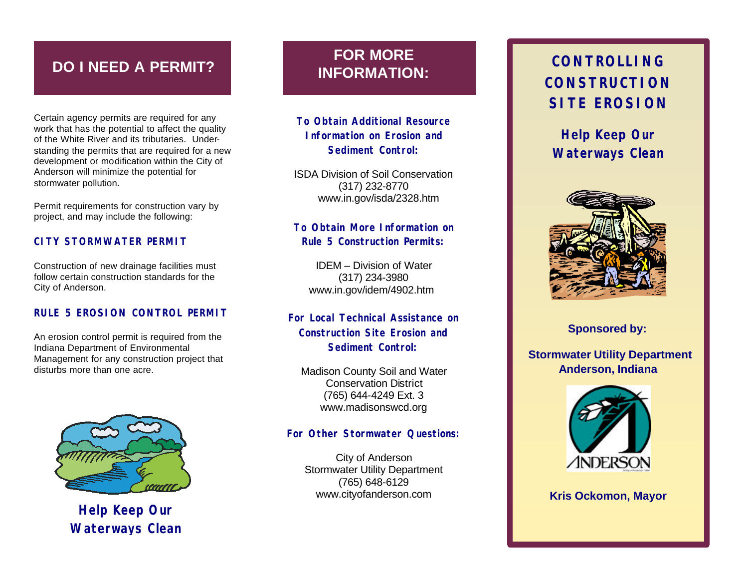# **DO I NEED A PERMIT?**

Certain agency permits are required for any work that has the potential to affect the quality of the White River and its tributaries. Understanding the permits that are required for a new development or modification within the City of Anderson will minimize the potential for stormwater pollution.

Permit requirements for construction vary by project, and may include the following:

#### **CITY STORMWATER PERMIT**

Construction of new drainage facilities must follow certain construction standards for the City of Anderson.

#### **RULE 5 EROSION CONTROL PERMIT**

An erosion control permit is required from the Indiana Department of Environmental Management for any construction project that disturbs more than one acre.



**Help Keep Our Waterways Clean**

# **FOR MORE INFORMATION:**

**To Obtain Additional Resource Information on Erosion and Sediment Control:** 

ISDA Division of Soil Conservation (317) 232-8770 www.in.gov/isda/2328.htm

### **To Obtain More Information on Rule 5 Construction Permits:**

IDEM – Division of Water (317) 234-3980 www.in.gov/idem/4902.htm

## **For Local Technical Assistance on Construction Site Erosion and Sediment Control:**

Madison County Soil and Water Conservation District (765) 644-4249 Ext. 3 www.madisonswcd.org

#### **For Other Stormwater Questions:**

City of Anderson Stormwater Utility Department (765) 648-6129 www.cityofanderson.com

# **CONTROLLING CONSTRUCTION SITE EROSION**

**Help Keep Our Waterways Clean**



**Sponsored by:**

 **Stormwater Utility Department Anderson, Indiana**



## **Kris Ockomon, Mayor**